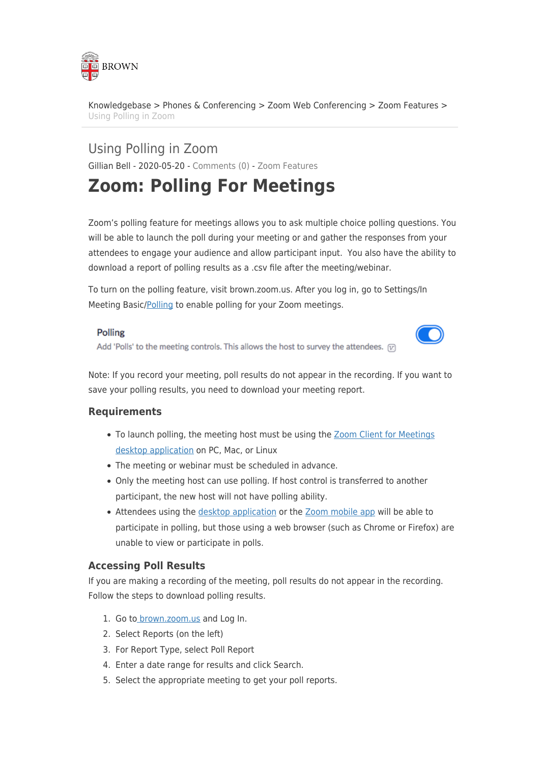

[Knowledgebase](https://ithelp.brown.edu/kb) > [Phones & Conferencing](https://ithelp.brown.edu/kb/phones-conferencing) > [Zoom Web Conferencing](https://ithelp.brown.edu/kb/zoom-web-conferencing) > [Zoom Features](https://ithelp.brown.edu/kb/zoom-features) > [Using Polling in Zoom](https://ithelp.brown.edu/kb/articles/using-polling-in-zoom)

Using Polling in Zoom Gillian Bell - 2020-05-20 - [Comments \(0\)](#page--1-0) - [Zoom Features](https://ithelp.brown.edu/kb/zoom-features)

# **Zoom: Polling For Meetings**

Zoom's polling feature for meetings allows you to ask multiple choice polling questions. You will be able to launch the poll during your meeting or and gather the responses from your attendees to engage your audience and allow participant input. You also have the ability to download a report of polling results as a .csv file after the meeting/webinar.

To turn on the polling feature, visit brown.zoom.us. After you log in, go to Settings/In Meeting Basic/[Polling](https://support.zoom.us/hc/en-us/articles/213756303-Polling-for-Meetings#h_90771265-fee5-4dda-8ae6-981dcb6760e0) to enable polling for your Zoom meetings.

### Polling

Add 'Polls' to the meeting controls. This allows the host to survey the attendees.  $[\overline{x}]$ 



Note: If you record your meeting, poll results do not appear in the recording. If you want to save your polling results, you need to download your meeting report.

# **Requirements**

- To launch polling, the meeting host must be using the [Zoom Client for Meetings](https://zoom.us/download) [desktop application](https://zoom.us/download) on PC, Mac, or Linux
- The meeting or webinar must be scheduled in advance.
- Only the meeting host can use polling. If host control is transferred to another participant, the new host will not have polling ability.
- Attendees using the [desktop application](https://zoom.us/download) or the [Zoom mobile app](https://zoom.us/download) will be able to participate in polling, but those using a web browser (such as Chrome or Firefox) are unable to view or participate in polls.

# **Accessing Poll Results**

If you are making a recording of the meeting, poll results do not appear in the recording. Follow the steps to download polling results.

- 1. Go t[o brown.zoom.us](https://brown.zoom.us) and Log In.
- 2. Select Reports (on the left)
- 3. For Report Type, select Poll Report
- 4. Enter a date range for results and click Search.
- 5. Select the appropriate meeting to get your poll reports.